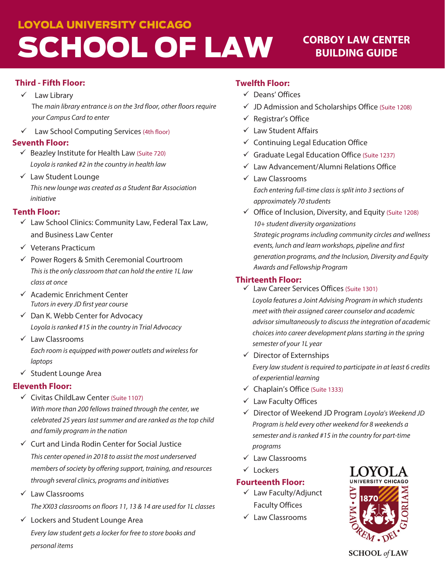### **LOYOLA UNIVERSITY CHICAGO**

# SCHOOL OF LAW

### **CORBOY LAW CENTER BUILDING GUIDE**

### **Third - Fifth Floor:**

### $\checkmark$  Law Library The main library entrance is on the 3rd floor, other floors require your Campus Card to enter

Law School Computing Services (4th floor)

#### **Seventh Floor:**

- $\checkmark$  Beazley Institute for Health Law (Suite 720) Loyola is ranked #2 in the country in health law
- $\checkmark$  Law Student Lounge This new lounge was created as a Student Bar Association initiative

### **Tenth Floor:**

- ← Law School Clinics: Community Law, Federal Tax Law, and Business Law Center
- $\checkmark$  Veterans Practicum
- ← Power Rogers & Smith Ceremonial Courtroom This is the only classroom that can hold the entire 1L law class at once
- $\checkmark$  Academic Enrichment Center Tutors in every JD first year course
- ← Dan K. Webb Center for Advocacy Loyola is ranked #15 in the country in Trial Advocacy
- $\checkmark$  Law Classrooms Each room is equipped with power outlets and wireless for laptops
- ✓ Student Lounge Area

### **Eleventh Floor:**

- ✓ Civitas ChildLaw Center (Suite 1107) With more than 200 fellows trained through the center, we celebrated 25 years last summer and are ranked as the top child and family program in the nation
- $\checkmark$  Curt and Linda Rodin Center for Social Justice This center opened in 2018 to assist the most underserved members of society by offering support, training, and resources through several clinics, programs and initiatives
- $\checkmark$  Law Classrooms The XX03 classrooms on floors 11, 13 & 14 are used for 1L classes
- ← Lockers and Student Lounge Area Every law student gets a locker for free to store books and personal items

### **Twelfth Floor:**

- √ Deans' Offices
- $\checkmark$  JD Admission and Scholarships Office (Suite 1208)
- $\checkmark$  Registrar's Office
- $\checkmark$  Law Student Affairs
- $\checkmark$  Continuing Legal Education Office
- $\checkmark$  Graduate Legal Education Office (Suite 1237)
- ← Law Advancement/Alumni Relations Office
- $\checkmark$  Law Classrooms Each entering full-time class is split into 3 sections of approximately 70 students
- ✓ Office of Inclusion, Diversity, and Equity (Suite 1208) 10+ student diversity organizations Strategic programs including community circles and wellness events, lunch and learn workshops, pipeline and first generation programs, and the Inclusion, Diversity and Equity Awards and Fellowship Program

### **Thirteenth Floor:**

- ← Law Career Services Offices (Suite 1301) Loyola features a Joint Advising Program in which students meet with their assigned career counselor and academic advisor simultaneously to discuss the integration of academic choices into career development plans starting in the spring semester of your 1L year
- $\checkmark$  Director of Externships

Every law student is required to participate in at least 6 credits of experiential learning

- ← Chaplain's Office (Suite 1333)
- $\checkmark$  Law Faculty Offices
- √ Director of Weekend JD Program Loyola's Weekend JD Program is held every other weekend for 8 weekends a semester and is ranked #15 in the country for part-time programs
- $\checkmark$  Law Classrooms
- $\checkmark$  Lockers

### **Fourteenth Floor:**

- ← Law Faculty/Adjunct **Faculty Offices**
- $\checkmark$  Law Classrooms



**SCHOOL** of LAW